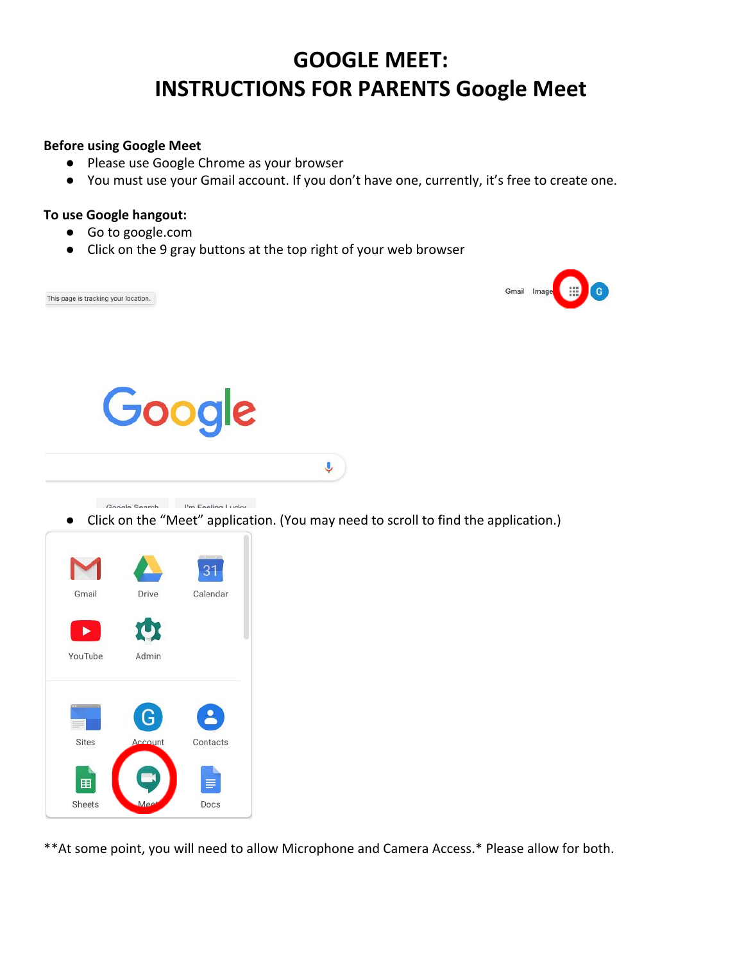## **GOOGLE MEET: INSTRUCTIONS FOR PARENTS Google Meet**

## **Before using Google Meet**

- Please use Google Chrome as your browser
- You must use your Gmail account. If you don't have one, currently, it's free to create one.

## **To use Google hangout:**

 $\mathbf{r}$ 

YouTube

Sites

田

Sheets

Admin

 $\mathbf{I}$ 

Contacts

≡

Docs

- Go to google.com
- Click on the 9 gray buttons at the top right of your web browser



\*\*At some point, you will need to allow Microphone and Camera Access.\* Please allow for both.